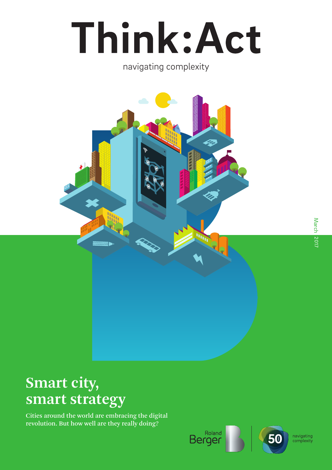# Think: Act

### navigating complexity



## **Smart city, smart strategy**

Cities around the world are embracing the digital revolution. But how well are they really doing?

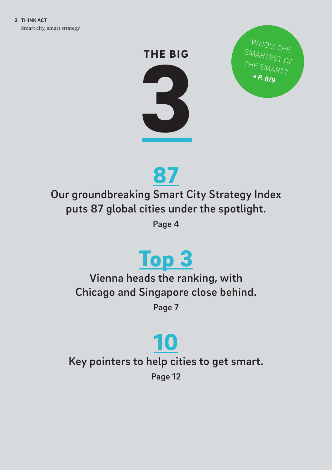# THE BIG



WHO'S THE SMARTEST OF THE SMART?  **P. 8/9**



Our groundbreaking Smart City Strategy Index puts 87 global cities under the spotlight.

Page 4

# [Top 3](#page-6-0)

Vienna heads the ranking, with Chicago and Singapore close behind.

Page 7

## [10](#page-11-0) Key pointers to help cities to get smart. Page 12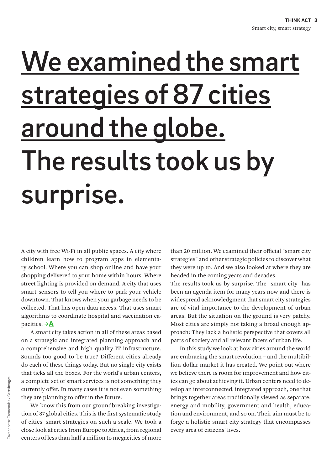# <span id="page-2-0"></span>We examined the smart strategies of 87 cities around the globe. The results took us by surprise.

A city with free Wi-Fi in all public spaces. A city where children learn how to program apps in elementary school. Where you can shop online and have your shopping delivered to your home within hours. Where street lighting is provided on demand. A city that uses smart sensors to tell you where to park your vehicle downtown. That knows when your garbage needs to be collected. That has open data access. That uses smart algorithms to coordinate hospital and vaccination capacities.  $\rightarrow$  A

A smart city takes action in all of these areas based on a strategic and integrated planning approach and a comprehensive and high quality IT infrastructure. Sounds too good to be true? Different cities already do each of these things today. But no single city exists that ticks all the boxes. For the world's urban centers, a complete set of smart services is not something they currently offer. In many cases it is not even something they are planning to offer in the future.

We know this from our groundbreaking investigation of 87 global cities. This is the first systematic study of cities' smart strategies on such a scale. We took a close look at cities from Europe to Africa, from regional centers of less than half a million to megacities of more

than 20 million. We examined their official "smart city strategies" and other strategic policies to discover what they were up to. And we also looked at where they are headed in the coming years and decades.

The results took us by surprise. The "smart city" has been an agenda item for many years now and there is widespread acknowledgment that smart city strategies are of vital importance to the development of urban areas. But the situation on the ground is very patchy. Most cities are simply not taking a broad enough approach: They lack a holistic perspective that covers all parts of society and all relevant facets of urban life.

In this study we look at how cities around the world are embracing the smart revolution – and the multibillion-dollar market it has created. We point out where we believe there is room for improvement and how cities can go about achieving it. Urban centers need to develop an interconnected, integrated approach, one that brings together areas traditionally viewed as separate: energy and mobility, government and health, education and environment, and so on. Their aim must be to forge a holistic smart city strategy that encompasses every area of citizens' lives.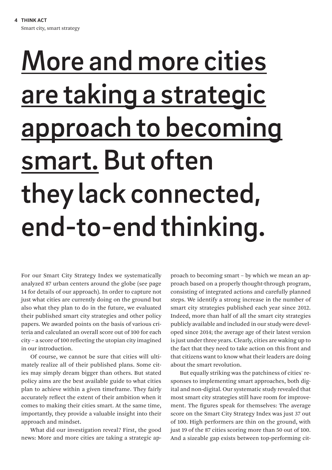# <span id="page-3-0"></span>More and more cities are taking a strategic approach to becoming smart. But often they lack connected, end-to-end thinking.

For our Smart City Strategy Index we systematically analyzed 87 urban centers around the globe (see page 14 for details of our approach). In order to capture not just what cities are currently doing on the ground but also what they plan to do in the future, we evaluated their published smart city strategies and other policy papers. We awarded points on the basis of various criteria and calculated an overall score out of 100 for each city – a score of 100 reflecting the utopian city imagined in our introduction.

Of course, we cannot be sure that cities will ultimately realize all of their published plans. Some cities may simply dream bigger than others. But stated policy aims are the best available guide to what cities plan to achieve within a given timeframe. They fairly accurately reflect the extent of their ambition when it comes to making their cities smart. At the same time, importantly, they provide a valuable insight into their approach and mindset.

What did our investigation reveal? First, the good news: More and more cities are taking a strategic approach to becoming smart – by which we mean an approach based on a properly thought-through program, consisting of integrated actions and carefully planned steps. We identify a strong increase in the number of smart city strategies published each year since 2012. Indeed, more than half of all the smart city strategies publicly available and included in our study were developed since 2014; the average age of their latest version is just under three years. Clearly, cities are waking up to the fact that they need to take action on this front and that citizens want to know what their leaders are doing about the smart revolution.

But equally striking was the patchiness of cities' responses to implementing smart approaches, both digital and non-digital. Our systematic study revealed that most smart city strategies still have room for improvement. The figures speak for themselves: The average score on the Smart City Strategy Index was just 37 out of 100. High performers are thin on the ground, with just 19 of the 87 cities scoring more than 50 out of 100. And a sizeable gap exists between top-performing cit-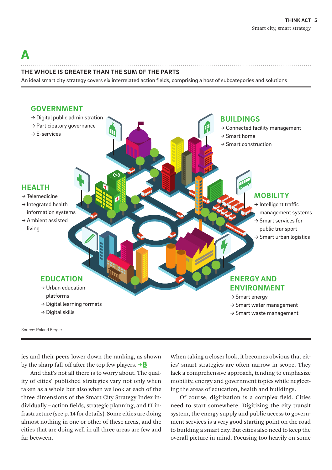## <span id="page-4-0"></span> $\bf\Lambda$

#### **THE WHOLE IS GREATER THAN THE SUM OF THE PARTS**

An ideal smart city strategy covers six interrelated action fields, comprising a host of subcategories and solutions



ies and their peers lower down the ranking, as shown by the sharp fall-off after the top few players.  $\rightarrow \mathbf{B}$ 

And that's not all there is to worry about. The quality of cities' published strategies vary not only when taken as a whole but also when we look at each of the three dimensions of the Smart City Strategy Index individually – action fields, strategic planning, and IT infrastructure (see p. 14 for details). Some cities are doing almost nothing in one or other of these areas, and the cities that are doing well in all three areas are few and far between.

When taking a closer look, it becomes obvious that cities' smart strategies are often narrow in scope. They lack a comprehensive approach, tending to emphasize mobility, energy and government topics while neglecting the areas of education, health and buildings.

Of course, digitization is a complex field. Cities need to start somewhere. Digitizing the city transit system, the energy supply and public access to government services is a very good starting point on the road to building a smart city. But cities also need to keep the overall picture in mind. Focusing too heavily on some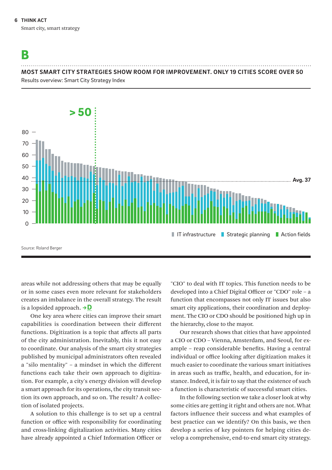### <span id="page-5-0"></span>[B](#page-4-0)

#### **MOST SMART CITY STRATEGIES SHOW ROOM FOR IMPROVEMENT. ONLY 19 CITIES SCORE OVER 50**

Results overview: Smart City Strategy Index



areas while not addressing others that may be equally or in some cases even more relevant for stakeholders creates an imbalance in the overall strategy. The result is a lopsided approach.  $\rightarrow$  D

One key area where cities can improve their smart capabilities is coordination between their different functions. Digitization is a topic that affects all parts of the city administration. Inevitably, this it not easy to coordinate. Our analysis of the smart city strategies published by municipal administrators often revealed a "silo mentality" – a mindset in which the different functions each take their own approach to digitization. For example, a city's energy division will develop a smart approach for its operations, the city transit section its own approach, and so on. The result? A collection of isolated projects.

A solution to this challenge is to set up a central function or office with responsibility for coordinating and cross-linking digitalization activities. Many cities have already appointed a Chief Information Officer or "CIO" to deal with IT topics. This function needs to be developed into a Chief Digital Officer or "CDO" role – a function that encompasses not only IT issues but also smart city applications, their coordination and deployment. The CIO or CDO should be positioned high up in the hierarchy, close to the mayor.

Our research shows that cities that have appointed a CIO or CDO – Vienna, Amsterdam, and Seoul, for example – reap considerable benefits. Having a central individual or office looking after digitization makes it much easier to coordinate the various smart initiatives in areas such as traffic, health, and education, for instance. Indeed, it is fair to say that the existence of such a function is characteristic of successful smart cities.

In the following section we take a closer look at why some cities are getting it right and others are not. What factors influence their success and what examples of best practice can we identify? On this basis, we then develop a series of key pointers for helping cities develop a comprehensive, end-to-end smart city strategy.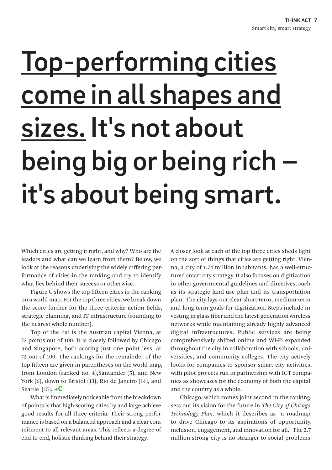# <span id="page-6-0"></span>Top-performing cities come in all shapes and sizes. It's not about being big or being rich – it's about being smart.

Which cities are getting it right, and why? Who are the leaders and what can we learn from them? Below, we look at the reasons underlying the widely differing performance of cities in the ranking and try to identify what lies behind their success or otherwise.

Figure C shows the top fifteen cities in the ranking on a world map. For the top three cities, we break down the score further for the three criteria: action fields, strategic planning, and IT infrastructure (rounding to the nearest whole number).

Top of the list is the Austrian capital Vienna, at 73 points out of 100. It is closely followed by Chicago and Singapore, both scoring just one point less, at 72 out of 100. The rankings for the remainder of the top fifteen are given in parentheses on the world map, from London (ranked no. 4),Santander (5), and New York (6), down to Bristol (13), Rio de Janeiro (14), and Seattle  $(15)$ . →  $\textcircled{c}$ 

What is immediately noticeable from the breakdown of points is that high-scoring cities by and large achieve good results for all three criteria. Their strong performance is based on a balanced approach and a clear commitment to all relevant areas. This reflects a degree of end-to-end, holistic thinking behind their strategy.

A closer look at each of the top three cities sheds light on the sort of things that cities are getting right. Vienna, a city of 1.74 million inhabitants, has a well-structured smart city strategy. It also focuses on digitization in other governmental guidelines and directives, such as its strategic land-use plan and its transportation plan. The city lays out clear short-term, medium-term and long-term goals for digitization. Steps include investing in glass fiber and the latest-generation wireless networks while maintaining already highly advanced digital infrastructures. Public services are being comprehensively shifted online and Wi-Fi expanded throughout the city in collaboration with schools, universities, and community colleges. The city actively looks for companies to sponsor smart city activities, with pilot projects run in partnership with ICT companies as showcases for the economy of both the capital and the country as a whole.

Chicago, which comes joint second in the ranking, sets out its vision for the future in *The City of Chicago Technology Plan,* which it describes as "a roadmap to drive Chicago to its aspirations of opportunity, inclusion, engagement, and innovation for all." The 2.7 million-strong city is no stranger to social problems.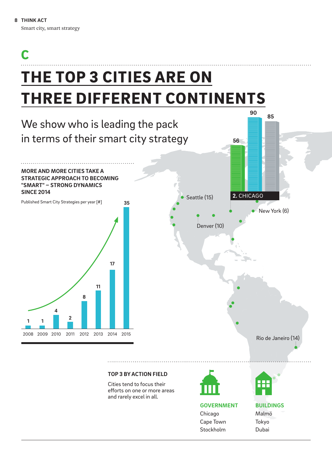## <span id="page-7-0"></span>THE TOP 3 CITIES ARE ON THREE DIFFERENT CONTINENTS [C](#page-6-0)



Stockholm

Dubai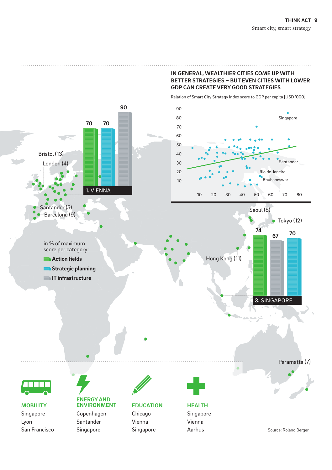#### **IN GENERAL, WEALTHIER CITIES COME UP WITH BETTER STRATEGIES – BUT EVEN CITIES WITH LOWER GDP CAN CREATE VERY GOOD STRATEGIES**

Relation of Smart City Strategy Index score to GDP per capita [USD '000]

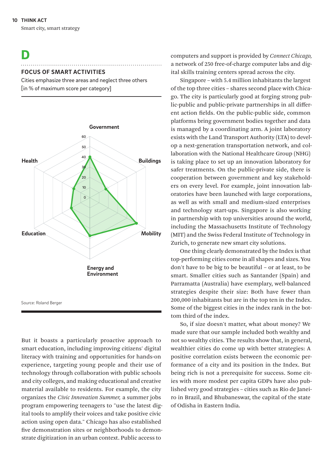<span id="page-9-0"></span>Smart city, smart strategy

### [D](#page-5-0)

#### **FOCUS OF SMART ACTIVITIES**

Cities emphasize three areas and neglect three others [in % of maximum score per category]



But it boasts a particularly proactive approach to smart education, including improving citizens' digital literacy with training and opportunities for hands-on experience, targeting young people and their use of technology through collaboration with public schools and city colleges, and making educational and creative material available to residents. For example, the city organizes the *Civic Innovation Summer,* a summer jobs program empowering teenagers to "use the latest digital tools to amplify their voices and take positive civic action using open data." Chicago has also established five demonstration sites or neighborhoods to demonstrate digitization in an urban context. Public access to

computers and support is provided by *Connect Chicago,* a network of 250 free-of-charge computer labs and digital skills training centers spread across the city.

Singapore – with 5.4 million inhabitants the largest of the top three cities – shares second place with Chicago. The city is particularly good at forging strong public-public and public-private partnerships in all different action fields. On the public-public side, common platforms bring government bodies together and data is managed by a coordinating arm. A joint laboratory exists with the Land Transport Authority (LTA) to develop a next-generation transportation network, and collaboration with the National Healthcare Group (NHG) is taking place to set up an innovation laboratory for safer treatments. On the public-private side, there is cooperation between government and key stakeholders on every level. For example, joint innovation laboratories have been launched with large corporations, as well as with small and medium-sized enterprises and technology start-ups. Singapore is also working in partnership with top universities around the world, including the Massachusetts Institute of Technology (MIT) and the Swiss Federal Institute of Technology in Zurich, to generate new smart city solutions.

One thing clearly demonstrated by the Index is that top-performing cities come in all shapes and sizes. You don't have to be big to be beautiful – or at least, to be smart. Smaller cities such as Santander (Spain) and Parramatta (Australia) have exemplary, well-balanced strategies despite their size: Both have fewer than 200,000 inhabitants but are in the top ten in the Index. Some of the biggest cities in the index rank in the bottom third of the index.

So, if size doesn't matter, what about money? We made sure that our sample included both wealthy and not so wealthy cities. The results show that, in general, wealthier cities do come up with better strategies: A positive correlation exists between the economic performance of a city and its position in the Index. But being rich is not a prerequisite for success. Some cities with more modest per capita GDPs have also published very good strategies – cities such as Rio de Janeiro in Brazil, and Bhubaneswar, the capital of the state of Odisha in Eastern India.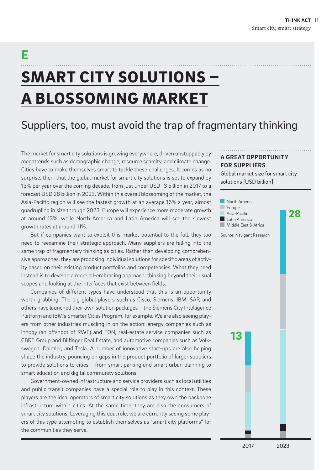# SMART CITY SOLUTIONS – A BLOSSOMING MARKET

E

## Suppliers, too, must avoid the trap of fragmentary thinking

The market for smart city solutions is growing everywhere, driven unstoppably by megatrends such as demographic change, resource scarcity, and climate change. Cities have to make themselves smart to tackle these challenges. It comes as no surprise, then, that the global market for smart city solutions is set to expand by 13% per year over the coming decade, from just under USD 13 billion in 2017 to a forecast USD 28 billion in 2023. Within this overall blossoming of the market, the Asia-Pacific region will see the fastest growth at an average 16% a year, almost quadrupling in size through 2023. Europe will experience more moderate growth at around 13%, while North America and Latin America will see the slowest growth rates at around 11%.

But if companies want to exploit this market potential to the full, they too need to reexamine their strategic approach. Many suppliers are falling into the same trap of fragmentary thinking as cities. Rather than developing comprehensive approaches, they are proposing individual solutions for specific areas of activity based on their existing product portfolios and competencies. What they need instead is to develop a more all-embracing approach, thinking beyond their usual scopes and looking at the interfaces that exist between fields.

Companies of different types have understood that this is an opportunity worth grabbing. The big global players such as Cisco, Siemens, IBM, SAP, and others have launched their own solution packages – the Siemens City Intelligence Platform and IBM's Smarter Cities Program, for example. We are also seeing players from other industries muscling in on the action: energy companies such as innogy (an offshoot of RWE) and EON, real-estate service companies such as CBRE Group and Bilfinger Real Estate, and automotive companies such as Volkswagen, Daimler, and Tesla. A number of innovative start-ups are also helping shape the industry, pouncing on gaps in the product portfolio of larger suppliers to provide solutions to cities – from smart parking and smart urban planning to smart education and digital community solutions.

Government-owned infrastructure and service providers such as local utilities and public transit companies have a special role to play in this context. These players are the ideal operators of smart city solutions as they own the backbone infrastructure within cities. At the same time, they are also the consumers of smart city solutions. Leveraging this dual role, we are currently seeing some players of this type attempting to establish themselves as "smart city platforms" for the communities they serve.

#### **A GREAT OPPORTUNITY FOR SUPPLIERS**

Global market size for smart city solutions [USD billion]

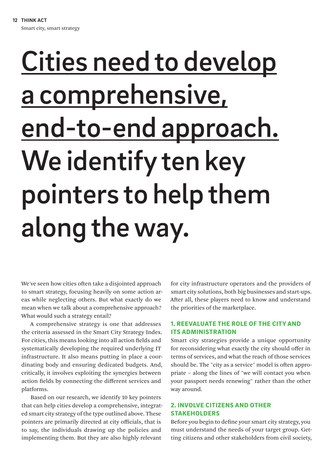# <span id="page-11-0"></span>Cities need to develop a comprehensive, end-to-end approach. We identify ten key pointers to help them along the way.

We've seen how cities often take a disjointed approach to smart strategy, focusing heavily on some action areas while neglecting others. But what exactly do we mean when we talk about a comprehensive approach? What would such a strategy entail?

A comprehensive strategy is one that addresses the criteria assessed in the Smart City Strategy Index. For cities, this means looking into all action fields and systematically developing the required underlying IT infrastructure. It also means putting in place a coordinating body and ensuring dedicated budgets. And, critically, it involves exploiting the synergies between action fields by connecting the different services and platforms.

Based on our research, we identify 10 key pointers that can help cities develop a comprehensive, integrated smart city strategy of the type outlined above. These pointers are primarily directed at city officials, that is to say, the individuals drawing up the policies and implementing them. But they are also highly relevant

for city infrastructure operators and the providers of smart city solutions, both big businesses and start-ups. After all, these players need to know and understand the priorities of the marketplace.

#### 1. REEVALUATE THE ROLE OF THE CITY AND ITS ADMINISTRATION

Smart city strategies provide a unique opportunity for reconsidering what exactly the city should offer in terms of services, and what the reach of those services should be. The "city as a service" model is often appropriate – along the lines of "we will contact you when your passport needs renewing" rather than the other way around.

#### 2. INVOLVE CITIZENS AND OTHER STAKEHOLDERS

Before you begin to define your smart city strategy, you must understand the needs of your target group. Getting citizens and other stakeholders from civil society,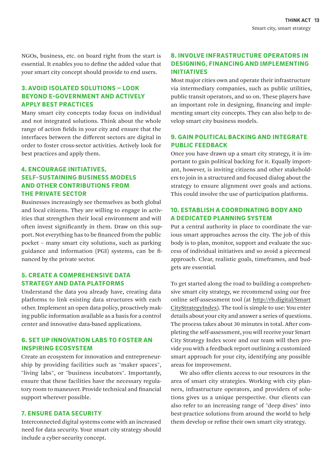NGOs, business, etc. on board right from the start is essential. It enables you to define the added value that your smart city concept should provide to end users.

#### 3. AVOID ISOLATED SOLUTIONS – LOOK BEYOND E-GOVERNMENT AND ACTIVELY APPLY BEST PRACTICES

Many smart city concepts today focus on individual and not integrated solutions. Think about the whole range of action fields in your city and ensure that the interfaces between the different sectors are digital in order to foster cross-sector activities. Actively look for best practices and apply them.

#### 4. ENCOURAGE INITIATIVES, SELF-SUSTAINING BUSINESS MODELS AND OTHER CONTRIBUTIONS FROM THE PRIVATE SECTOR

Businesses increasingly see themselves as both global and local citizens. They are willing to engage in activities that strengthen their local environment and will often invest significantly in them. Draw on this support. Not everything has to be financed from the public pocket – many smart city solutions, such as parking guidance and information (PGI) systems, can be financed by the private sector.

#### 5. CREATE A COMPREHENSIVE DATA STRATEGY AND DATA PLATFORMS

Understand the data you already have, creating data platforms to link existing data structures with each other. Implement an open data policy, proactively making public information available as a basis for a control center and innovative data-based applications.

#### 6. SET UP INNOVATION LABS TO FOSTER AN INSPIRING ECOSYSTEM

Create an ecosystem for innovation and entrepreneurship by providing facilities such as "maker spaces", "living labs", or "business incubators". Importantly, ensure that these facilities have the necessary regulatory room to maneuver. Provide technical and financial support wherever possible.

#### 7. ENSURE DATA SECURITY

Interconnected digital systems come with an increased need for data security. Your smart city strategy should include a cyber-security concept.

#### 8. INVOLVE INFRASTRUCTURE OPERATORS IN DESIGNING, FINANCING AND IMPLEMENTING INITIATIVES

Most major cities own and operate their infrastructure via intermediary companies, such as public utilities, public transit operators, and so on. These players have an important role in designing, financing and implementing smart city concepts. They can also help to develop smart city business models.

#### 9. GAIN POLITICAL BACKING AND INTEGRATE PUBLIC FEEDBACK

Once you have drawn up a smart city strategy, it is important to gain political backing for it. Equally important, however, is inviting citizens and other stakeholders to join in a structured and focused dialog about the strategy to ensure alignment over goals and actions. This could involve the use of participation platforms.

#### 10. ESTABLISH A COORDINATING BODY AND A DEDICATED PLANNING SYSTEM

Put a central authority in place to coordinate the various smart approaches across the city. The job of this body is to plan, monitor, support and evaluate the success of individual initiatives and so avoid a piecemeal approach. Clear, realistic goals, timeframes, and budgets are essential.

To get started along the road to building a comprehensive smart city strategy, we recommend using our free online self-assessment tool (at [http://rb.digital/Smart](http://rb.digital/SmartCityStrategyIndex) [CityStrategyIndex](http://rb.digital/SmartCityStrategyIndex)). The tool is simple to use: You enter details about your city and answer a series of questions. The process takes about 30 minutes in total. After completing the self-assessment, you will receive your Smart City Strategy Index score and our team will then provide you with a feedback report outlining a customized smart approach for your city, identifying any possible areas for improvement.

We also offer clients access to our resources in the area of smart city strategies. Working with city planners, infrastructure operators, and providers of solutions gives us a unique perspective. Our clients can also refer to an increasing range of "deep dives" into best-practice solutions from around the world to help them develop or refine their own smart city strategy.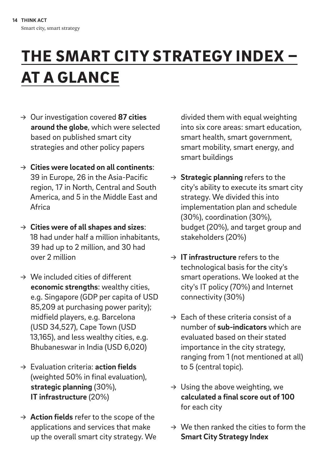## THE SMART CITY STRATEGY INDEX – AT A GLANCE

- → Our investigation covered **87 cities around the globe**, which were selected based on published smart city strategies and other policy papers
- → **Cities were located on all continents**: 39 in Europe, 26 in the Asia-Pacific region, 17 in North, Central and South America, and 5 in the Middle East and Africa
- → **Cities were of all shapes and sizes**: 18 had under half a million inhabitants, 39 had up to 2 million, and 30 had over 2 million
- $\rightarrow$  We included cities of different **economic strengths**: wealthy cities, e.g. Singapore (GDP per capita of USD 85,209 at purchasing power parity); midfield players, e.g. Barcelona (USD 34,527), Cape Town (USD 13,165), and less wealthy cities, e.g. Bhubaneswar in India (USD 6,020)
- → Evaluation criteria: **action fields** (weighted 50% in final evaluation), **strategic planning** (30%), **IT infrastructure** (20%)
- → **Action fields** refer to the scope of the applications and services that make up the overall smart city strategy. We

divided them with equal weighting into six core areas: smart education, smart health, smart government, smart mobility, smart energy, and smart buildings

- → **Strategic planning** refers to the city's ability to execute its smart city strategy. We divided this into implementation plan and schedule (30%), coordination (30%), budget (20%), and target group and stakeholders (20%)
- → **IT infrastructure** refers to the technological basis for the city's smart operations. We looked at the city's IT policy (70%) and Internet connectivity (30%)
- $\rightarrow$  Each of these criteria consist of a number of **sub-indicators** which are evaluated based on their stated importance in the city strategy, ranging from 1 (not mentioned at all) to 5 (central topic).
- $\rightarrow$  Using the above weighting, we **calculated a final score out of 100** for each city
- $\rightarrow$  We then ranked the cities to form the **Smart City Strategy Index**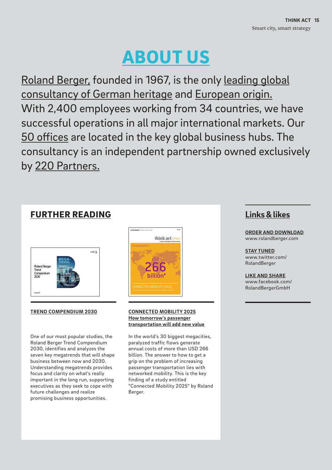## ABOUT US

Roland Berger, founded in 1967, is the only leading global consultancy of German heritage and European origin. With 2,400 employees working from 34 countries, we have successful operations in all major international markets. Our 50 offices are located in the key global business hubs. The consultancy is an independent partnership owned exclusively by 220 Partners.

#### FURTHER READING

| <b>Roland Berger</b><br>Trend<br>Compendium<br>2030 | MEGA-<br><b>TRENDS</b><br><b>CONSUMICS</b> GLOB<br>CARCIT<br><b>MEGANTINE</b><br><b>GLOBALIZATIONA</b><br>I UTURE MANKETS |  |
|-----------------------------------------------------|---------------------------------------------------------------------------------------------------------------------------|--|
| February 2017                                       |                                                                                                                           |  |

#### **TREND COMPENDIUM 2030**

One of our most popular studies, the Roland Berger Trend Compendium 2030, identifies and analyzes the seven key megatrends that will shape business between now and 2030. Understanding megatrends provides focus and clarity on what's really important in the long run, supporting executives as they seek to cope with future challenges and realize promising business opportunities.



#### **CONNECTED MOBILITY 2025 How tomorrow's passenger transportation will add new value**

In the world's 30 biggest megacities, paralyzed traffic flows generate annual costs of more than USD 266 billion. The answer to how to get a grip on the problem of increasing passenger transportation lies with networked mobility. This is the key finding of a study entitled "Connected Mobility 2025" by Roland Berger.

#### **Links &likes**

**ORDER AND DOWNLOAD** [www.rolandberger.com](https://www.rolandberger.com)

**STAY TUNED** [www.twitter.com/](https://twitter.com/RolandBerger) [RolandBerger](https://twitter.com/RolandBerger)

**LIKE AND SHARE** [www.facebook.com/](https://www.facebook.com/RolandBergerGmbH) [RolandBerger](https://www.facebook.com/RolandBergerGmbH)GmbH